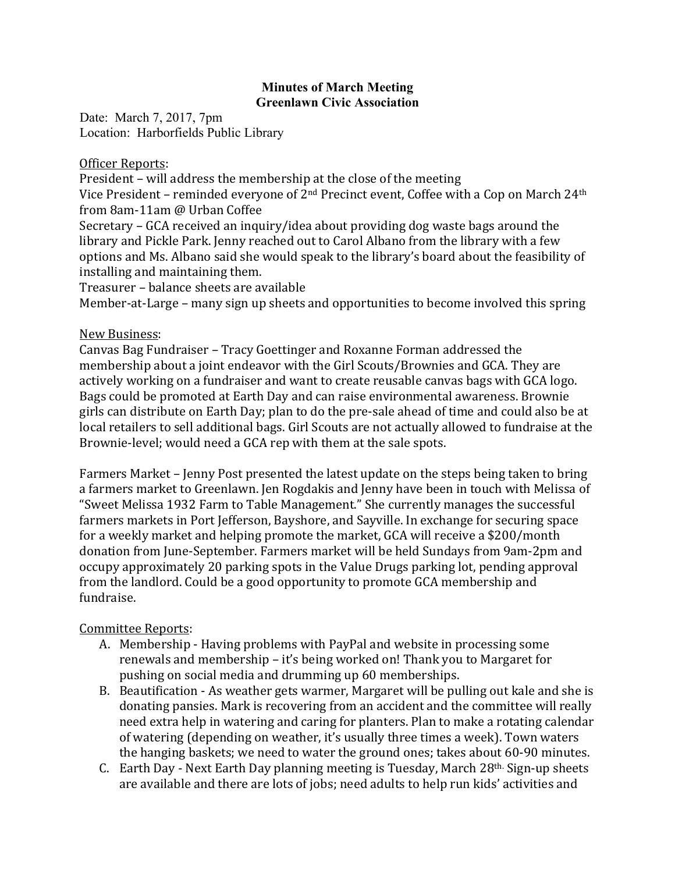### **Minutes of March Meeting Greenlawn Civic Association**

Date: March 7, 2017, 7pm Location: Harborfields Public Library

### Officer Reports:

President – will address the membership at the close of the meeting Vice President – reminded everyone of  $2<sup>nd</sup>$  Precinct event, Coffee with a Cop on March  $24<sup>th</sup>$ from 8am-11am @ Urban Coffee

Secretary  $-$  GCA received an inquiry/idea about providing dog waste bags around the library and Pickle Park. Jenny reached out to Carol Albano from the library with a few options and Ms. Albano said she would speak to the library's board about the feasibility of installing and maintaining them.

Treasurer – balance sheets are available

Member-at-Large – many sign up sheets and opportunities to become involved this spring

# New Business:

Canvas Bag Fundraiser – Tracy Goettinger and Roxanne Forman addressed the membership about a joint endeavor with the Girl Scouts/Brownies and GCA. They are actively working on a fundraiser and want to create reusable canvas bags with GCA logo. Bags could be promoted at Earth Day and can raise environmental awareness. Brownie girls can distribute on Earth Day; plan to do the pre-sale ahead of time and could also be at local retailers to sell additional bags. Girl Scouts are not actually allowed to fundraise at the Brownie-level; would need a GCA rep with them at the sale spots.

Farmers Market – Jenny Post presented the latest update on the steps being taken to bring a farmers market to Greenlawn. Jen Rogdakis and Jenny have been in touch with Melissa of "Sweet Melissa 1932 Farm to Table Management." She currently manages the successful farmers markets in Port Jefferson, Bayshore, and Sayville. In exchange for securing space for a weekly market and helping promote the market, GCA will receive a \$200/month donation from June-September. Farmers market will be held Sundays from 9am-2pm and occupy approximately 20 parking spots in the Value Drugs parking lot, pending approval from the landlord. Could be a good opportunity to promote GCA membership and fundraise.

# Committee Reports:

- A. Membership Having problems with PayPal and website in processing some renewals and membership – it's being worked on! Thank you to Margaret for pushing on social media and drumming up 60 memberships.
- B. Beautification As weather gets warmer, Margaret will be pulling out kale and she is donating pansies. Mark is recovering from an accident and the committee will really need extra help in watering and caring for planters. Plan to make a rotating calendar of watering (depending on weather, it's usually three times a week). Town waters the hanging baskets; we need to water the ground ones; takes about  $60-90$  minutes.
- C. Earth Day Next Earth Day planning meeting is Tuesday, March 28<sup>th.</sup> Sign-up sheets are available and there are lots of jobs; need adults to help run kids' activities and